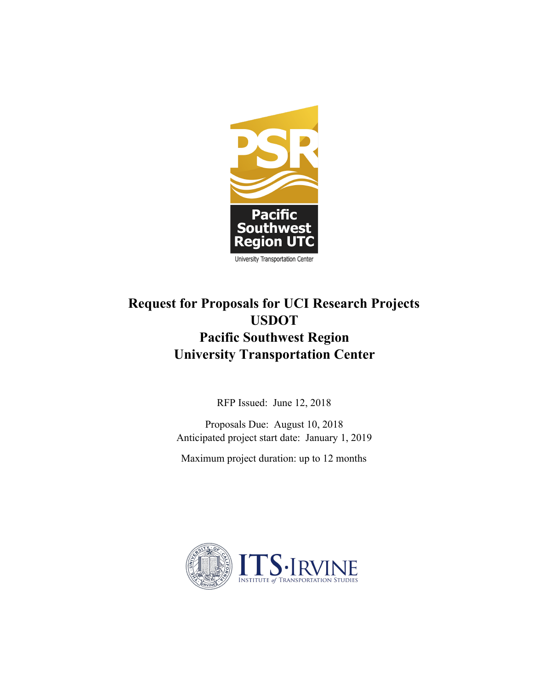

# **Request for Proposals for UCI Research Projects USDOT Pacific Southwest Region University Transportation Center**

RFP Issued: June 12, 2018

Proposals Due: August 10, 2018 Anticipated project start date: January 1, 2019

Maximum project duration: up to 12 months

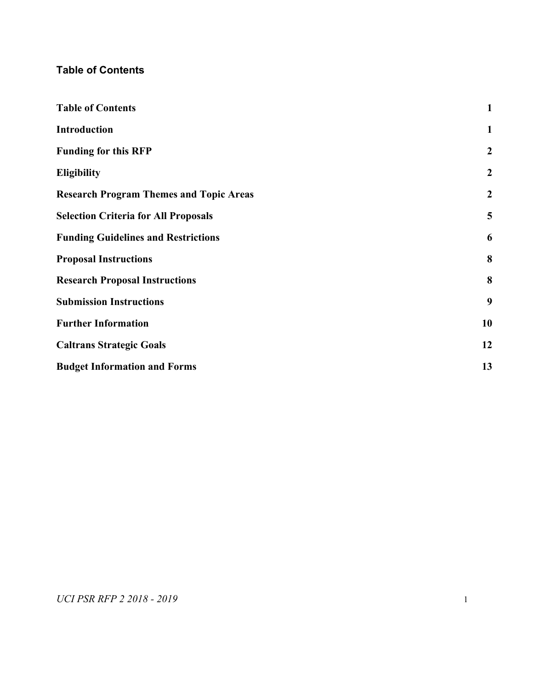# <span id="page-1-0"></span>**Table of Contents**

<span id="page-1-1"></span>

| <b>Table of Contents</b>                       | $\mathbf{1}$     |
|------------------------------------------------|------------------|
| <b>Introduction</b>                            | $\mathbf{1}$     |
| <b>Funding for this RFP</b>                    | $\boldsymbol{2}$ |
| <b>Eligibility</b>                             | $\boldsymbol{2}$ |
| <b>Research Program Themes and Topic Areas</b> | $\boldsymbol{2}$ |
| <b>Selection Criteria for All Proposals</b>    | 5                |
| <b>Funding Guidelines and Restrictions</b>     | 6                |
| <b>Proposal Instructions</b>                   | 8                |
| <b>Research Proposal Instructions</b>          | 8                |
| <b>Submission Instructions</b>                 | 9                |
| <b>Further Information</b>                     | 10               |
| <b>Caltrans Strategic Goals</b>                | 12               |
| <b>Budget Information and Forms</b>            | 13               |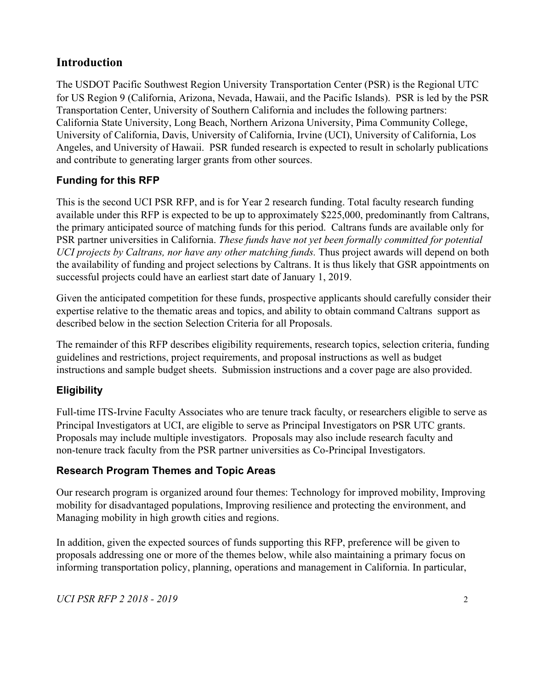# **Introduction**

The USDOT Pacific Southwest Region University Transportation Center (PSR) is the Regional UTC for US Region 9 (California, Arizona, Nevada, Hawaii, and the Pacific Islands). PSR is led by the PSR Transportation Center, University of Southern California and includes the following partners: California State University, Long Beach, Northern Arizona University, Pima Community College, University of California, Davis, University of California, Irvine (UCI), University of California, Los Angeles, and University of Hawaii. PSR funded research is expected to result in scholarly publications and contribute to generating larger grants from other sources.

# <span id="page-2-0"></span>**Funding for this RFP**

This is the second UCI PSR RFP, and is for Year 2 research funding. Total faculty research funding available under this RFP is expected to be up to approximately \$225,000, predominantly from Caltrans, the primary anticipated source of matching funds for this period. Caltrans funds are available only for PSR partner universities in California. *These funds have not yet been formally committed for potential UCI projects by Caltrans, nor have any other matching funds.* Thus project awards will depend on both the availability of funding and project selections by Caltrans. It is thus likely that GSR appointments on successful projects could have an earliest start date of January 1, 2019.

Given the anticipated competition for these funds, prospective applicants should carefully consider their expertise relative to the thematic areas and topics, and ability to obtain command Caltrans support as described below in the section Selection Criteria for all Proposals.

The remainder of this RFP describes eligibility requirements, research topics, selection criteria, funding guidelines and restrictions, project requirements, and proposal instructions as well as budget instructions and sample budget sheets. Submission instructions and a cover page are also provided.

# <span id="page-2-1"></span>**Eligibility**

Full-time ITS-Irvine Faculty Associates who are tenure track faculty, or researchers eligible to serve as Principal Investigators at UCI, are eligible to serve as Principal Investigators on PSR UTC grants. Proposals may include multiple investigators. Proposals may also include research faculty and non-tenure track faculty from the PSR partner universities as Co-Principal Investigators.

# <span id="page-2-2"></span>**Research Program Themes and Topic Areas**

Our research program is organized around four themes: Technology for improved mobility, Improving mobility for disadvantaged populations, Improving resilience and protecting the environment, and Managing mobility in high growth cities and regions.

In addition, given the expected sources of funds supporting this RFP, preference will be given to proposals addressing one or more of the themes below, while also maintaining a primary focus on informing transportation policy, planning, operations and management in California. In particular,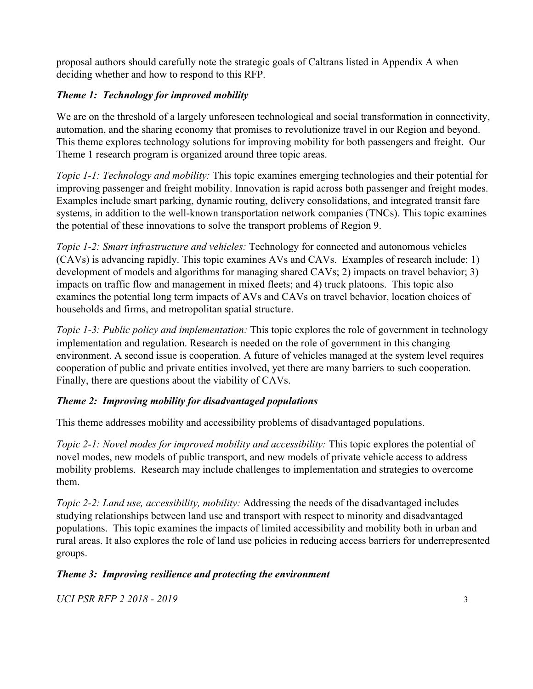proposal authors should carefully note the strategic goals of Caltrans listed in Appendix A when deciding whether and how to respond to this RFP.

### *Theme 1: Technology for improved mobility*

We are on the threshold of a largely unforeseen technological and social transformation in connectivity, automation, and the sharing economy that promises to revolutionize travel in our Region and beyond. This theme explores technology solutions for improving mobility for both passengers and freight. Our Theme 1 research program is organized around three topic areas.

*Topic 1-1: Technology and mobility:* This topic examines emerging technologies and their potential for improving passenger and freight mobility. Innovation is rapid across both passenger and freight modes. Examples include smart parking, dynamic routing, delivery consolidations, and integrated transit fare systems, in addition to the well-known transportation network companies (TNCs). This topic examines the potential of these innovations to solve the transport problems of Region 9.

*Topic 1-2: Smart infrastructure and vehicles:* Technology for connected and autonomous vehicles (CAVs) is advancing rapidly. This topic examines AVs and CAVs. Examples of research include: 1) development of models and algorithms for managing shared CAVs; 2) impacts on travel behavior; 3) impacts on traffic flow and management in mixed fleets; and 4) truck platoons. This topic also examines the potential long term impacts of AVs and CAVs on travel behavior, location choices of households and firms, and metropolitan spatial structure.

*Topic 1-3: Public policy and implementation:* This topic explores the role of government in technology implementation and regulation. Research is needed on the role of government in this changing environment. A second issue is cooperation. A future of vehicles managed at the system level requires cooperation of public and private entities involved, yet there are many barriers to such cooperation. Finally, there are questions about the viability of CAVs.

#### *Theme 2: Improving mobility for disadvantaged populations*

This theme addresses mobility and accessibility problems of disadvantaged populations.

*Topic 2-1: Novel modes for improved mobility and accessibility: This topic explores the potential of* novel modes, new models of public transport, and new models of private vehicle access to address mobility problems. Research may include challenges to implementation and strategies to overcome them.

*Topic 2-2: Land use, accessibility, mobility:* Addressing the needs of the disadvantaged includes studying relationships between land use and transport with respect to minority and disadvantaged populations. This topic examines the impacts of limited accessibility and mobility both in urban and rural areas. It also explores the role of land use policies in reducing access barriers for underrepresented groups.

# *Theme 3: Improving resilience and protecting the environment*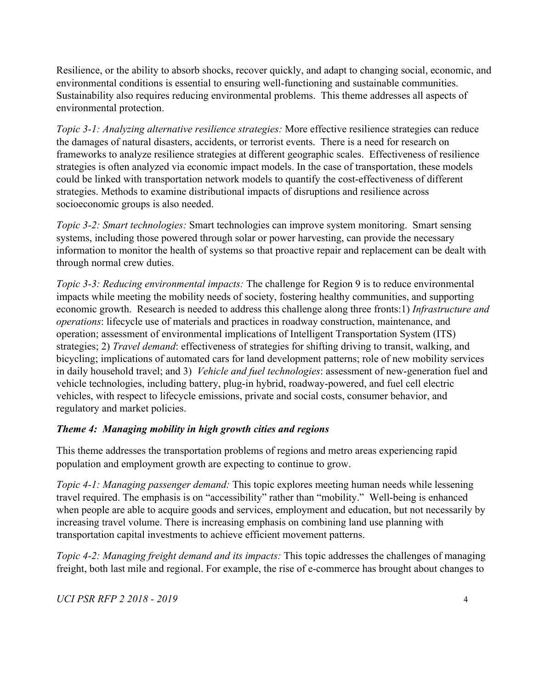Resilience, or the ability to absorb shocks, recover quickly, and adapt to changing social, economic, and environmental conditions is essential to ensuring well-functioning and sustainable communities. Sustainability also requires reducing environmental problems. This theme addresses all aspects of environmental protection.

*Topic 3-1: Analyzing alternative resilience strategies:* More effective resilience strategies can reduce the damages of natural disasters, accidents, or terrorist events. There is a need for research on frameworks to analyze resilience strategies at different geographic scales. Effectiveness of resilience strategies is often analyzed via economic impact models. In the case of transportation, these models could be linked with transportation network models to quantify the cost-effectiveness of different strategies. Methods to examine distributional impacts of disruptions and resilience across socioeconomic groups is also needed.

*Topic 3-2: Smart technologies:* Smart technologies can improve system monitoring. Smart sensing systems, including those powered through solar or power harvesting, can provide the necessary information to monitor the health of systems so that proactive repair and replacement can be dealt with through normal crew duties.

*Topic 3-3: Reducing environmental impacts:* The challenge for Region 9 is to reduce environmental impacts while meeting the mobility needs of society, fostering healthy communities, and supporting economic growth. Research is needed to address this challenge along three fronts:1) *Infrastructure and operations*: lifecycle use of materials and practices in roadway construction, maintenance, and operation; assessment of environmental implications of Intelligent Transportation System (ITS) strategies; 2) *Travel demand*: effectiveness of strategies for shifting driving to transit, walking, and bicycling; implications of automated cars for land development patterns; role of new mobility services in daily household travel; and 3) *Vehicle and fuel technologies*: assessment of new-generation fuel and vehicle technologies, including battery, plug-in hybrid, roadway-powered, and fuel cell electric vehicles, with respect to lifecycle emissions, private and social costs, consumer behavior, and regulatory and market policies.

#### *Theme 4: Managing mobility in high growth cities and regions*

This theme addresses the transportation problems of regions and metro areas experiencing rapid population and employment growth are expecting to continue to grow.

*Topic 4-1: Managing passenger demand:* This topic explores meeting human needs while lessening travel required. The emphasis is on "accessibility" rather than "mobility." Well-being is enhanced when people are able to acquire goods and services, employment and education, but not necessarily by increasing travel volume. There is increasing emphasis on combining land use planning with transportation capital investments to achieve efficient movement patterns.

*Topic 4-2: Managing freight demand and its impacts:* This topic addresses the challenges of managing freight, both last mile and regional. For example, the rise of e-commerce has brought about changes to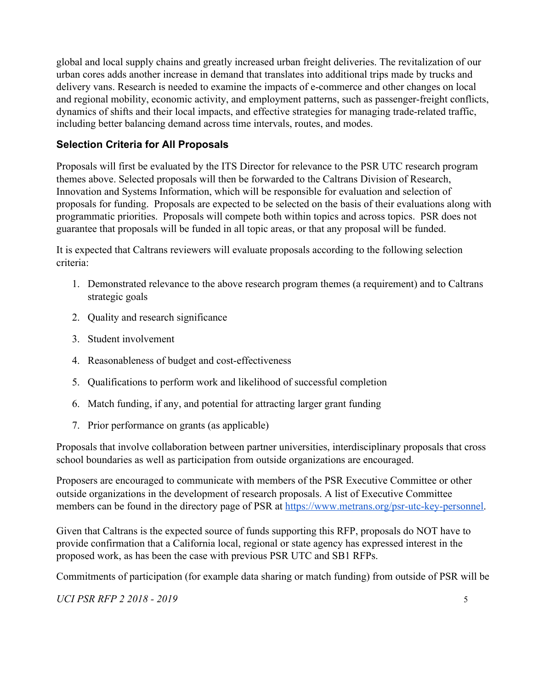global and local supply chains and greatly increased urban freight deliveries. The revitalization of our urban cores adds another increase in demand that translates into additional trips made by trucks and delivery vans. Research is needed to examine the impacts of e-commerce and other changes on local and regional mobility, economic activity, and employment patterns, such as passenger-freight conflicts, dynamics of shifts and their local impacts, and effective strategies for managing trade-related traffic, including better balancing demand across time intervals, routes, and modes.

#### <span id="page-5-0"></span>**Selection Criteria for All Proposals**

Proposals will first be evaluated by the ITS Director for relevance to the PSR UTC research program themes above. Selected proposals will then be forwarded to the Caltrans Division of Research, Innovation and Systems Information, which will be responsible for evaluation and selection of proposals for funding. Proposals are expected to be selected on the basis of their evaluations along with programmatic priorities. Proposals will compete both within topics and across topics. PSR does not guarantee that proposals will be funded in all topic areas, or that any proposal will be funded.

It is expected that Caltrans reviewers will evaluate proposals according to the following selection criteria:

- 1. Demonstrated relevance to the above research program themes (a requirement) and to Caltrans strategic goals
- 2. Quality and research significance
- 3. Student involvement
- 4. Reasonableness of budget and cost-effectiveness
- 5. Qualifications to perform work and likelihood of successful completion
- 6. Match funding, if any, and potential for attracting larger grant funding
- 7. Prior performance on grants (as applicable)

Proposals that involve collaboration between partner universities, interdisciplinary proposals that cross school boundaries as well as participation from outside organizations are encouraged.

Proposers are encouraged to communicate with members of the PSR Executive Committee or other outside organizations in the development of research proposals. A list of Executive Committee members can be found in the directory page of PSR at [https://www.metrans.org/psr-utc-key-personnel.](https://www.metrans.org/psr-utc-key-personnel)

Given that Caltrans is the expected source of funds supporting this RFP, proposals do NOT have to provide confirmation that a California local, regional or state agency has expressed interest in the proposed work, as has been the case with previous PSR UTC and SB1 RFPs.

Commitments of participation (for example data sharing or match funding) from outside of PSR will be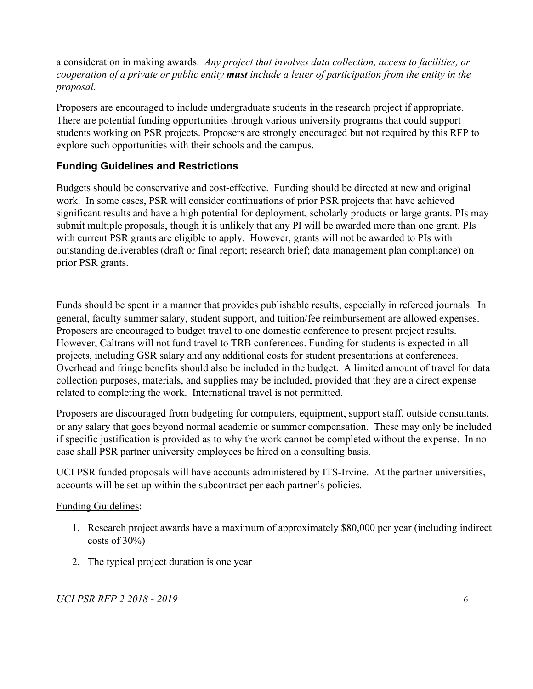a consideration in making awards. *Any project that involves data collection, access to facilities, or cooperation of a private or public entity must include a letter of participation from the entity in the proposal.*

Proposers are encouraged to include undergraduate students in the research project if appropriate. There are potential funding opportunities through various university programs that could support students working on PSR projects. Proposers are strongly encouraged but not required by this RFP to explore such opportunities with their schools and the campus.

#### <span id="page-6-0"></span>**Funding Guidelines and Restrictions**

Budgets should be conservative and cost-effective. Funding should be directed at new and original work. In some cases, PSR will consider continuations of prior PSR projects that have achieved significant results and have a high potential for deployment, scholarly products or large grants. PIs may submit multiple proposals, though it is unlikely that any PI will be awarded more than one grant. PIs with current PSR grants are eligible to apply. However, grants will not be awarded to PIs with outstanding deliverables (draft or final report; research brief; data management plan compliance) on prior PSR grants.

Funds should be spent in a manner that provides publishable results, especially in refereed journals. In general, faculty summer salary, student support, and tuition/fee reimbursement are allowed expenses. Proposers are encouraged to budget travel to one domestic conference to present project results. However, Caltrans will not fund travel to TRB conferences. Funding for students is expected in all projects, including GSR salary and any additional costs for student presentations at conferences. Overhead and fringe benefits should also be included in the budget. A limited amount of travel for data collection purposes, materials, and supplies may be included, provided that they are a direct expense related to completing the work. International travel is not permitted.

Proposers are discouraged from budgeting for computers, equipment, support staff, outside consultants, or any salary that goes beyond normal academic or summer compensation. These may only be included if specific justification is provided as to why the work cannot be completed without the expense. In no case shall PSR partner university employees be hired on a consulting basis.

UCI PSR funded proposals will have accounts administered by ITS-Irvine. At the partner universities, accounts will be set up within the subcontract per each partner's policies.

#### Funding Guidelines:

- 1. Research project awards have a maximum of approximately \$80,000 per year (including indirect  $costs$  of  $30\%$ )
- 2. The typical project duration is one year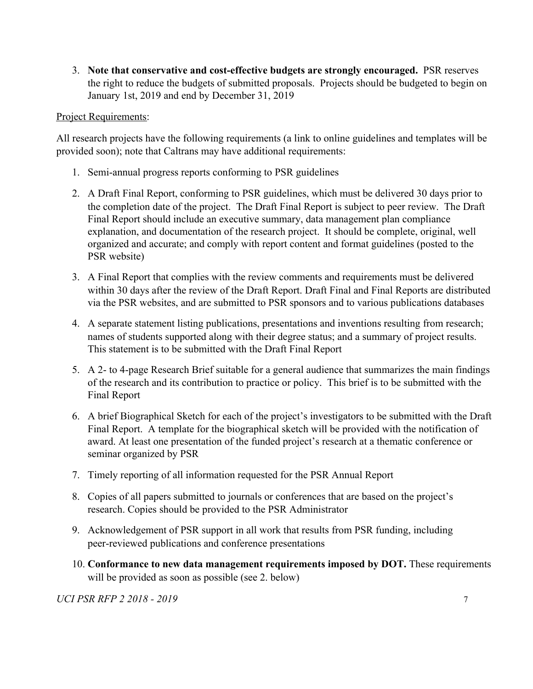3. **Note that conservative and cost-effective budgets are strongly encouraged.** PSR reserves the right to reduce the budgets of submitted proposals. Projects should be budgeted to begin on January 1st, 2019 and end by December 31, 2019

#### Project Requirements:

All research projects have the following requirements (a link to online guidelines and templates will be provided soon); note that Caltrans may have additional requirements:

- 1. Semi-annual progress reports conforming to PSR guidelines
- 2. A Draft Final Report, conforming to PSR guidelines, which must be delivered 30 days prior to the completion date of the project. The Draft Final Report is subject to peer review. The Draft Final Report should include an executive summary, data management plan compliance explanation, and documentation of the research project. It should be complete, original, well organized and accurate; and comply with report content and format guidelines (posted to the PSR website)
- 3. A Final Report that complies with the review comments and requirements must be delivered within 30 days after the review of the Draft Report. Draft Final and Final Reports are distributed via the PSR websites, and are submitted to PSR sponsors and to various publications databases
- 4. A separate statement listing publications, presentations and inventions resulting from research; names of students supported along with their degree status; and a summary of project results. This statement is to be submitted with the Draft Final Report
- 5. A 2- to 4-page Research Brief suitable for a general audience that summarizes the main findings of the research and its contribution to practice or policy. This brief is to be submitted with the Final Report
- 6. A brief Biographical Sketch for each of the project's investigators to be submitted with the Draft Final Report. A template for the biographical sketch will be provided with the notification of award. At least one presentation of the funded project's research at a thematic conference or seminar organized by PSR
- 7. Timely reporting of all information requested for the PSR Annual Report
- 8. Copies of all papers submitted to journals or conferences that are based on the project's research. Copies should be provided to the PSR Administrator
- 9. Acknowledgement of PSR support in all work that results from PSR funding, including peer-reviewed publications and conference presentations
- 10. **Conformance to new data management requirements imposed by DOT.** These requirements will be provided as soon as possible (see 2. below)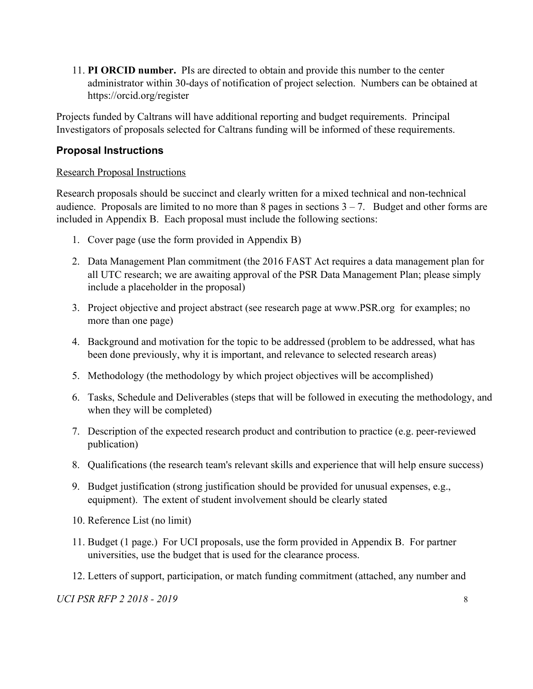11. **PI ORCID number.** PIs are directed to obtain and provide this number to the center administrator within 30-days of notification of project selection. Numbers can be obtained at https://orcid.org/register

Projects funded by Caltrans will have additional reporting and budget requirements. Principal Investigators of proposals selected for Caltrans funding will be informed of these requirements.

#### <span id="page-8-0"></span>**Proposal Instructions**

#### <span id="page-8-1"></span>Research Proposal Instructions

Research proposals should be succinct and clearly written for a mixed technical and non-technical audience. Proposals are limited to no more than 8 pages in sections  $3 - 7$ . Budget and other forms are included in Appendix B. Each proposal must include the following sections:

- 1. Cover page (use the form provided in Appendix B)
- 2. Data Management Plan commitment (the 2016 FAST Act requires a data management plan for all UTC research; we are awaiting approval of the PSR Data Management Plan; please simply include a placeholder in the proposal)
- 3. Project objective and project abstract (see research page at [www.PSR.org](http://www.metrans.org/) for examples; no more than one page)
- 4. Background and motivation for the topic to be addressed (problem to be addressed, what has been done previously, why it is important, and relevance to selected research areas)
- 5. Methodology (the methodology by which project objectives will be accomplished)
- 6. Tasks, Schedule and Deliverables (steps that will be followed in executing the methodology, and when they will be completed)
- 7. Description of the expected research product and contribution to practice (e.g. peer-reviewed publication)
- 8. Qualifications (the research team's relevant skills and experience that will help ensure success)
- 9. Budget justification (strong justification should be provided for unusual expenses, e.g., equipment). The extent of student involvement should be clearly stated
- 10. Reference List (no limit)
- 11. Budget (1 page.) For UCI proposals, use the form provided in Appendix B. For partner universities, use the budget that is used for the clearance process.
- 12. Letters of support, participation, or match funding commitment (attached, any number and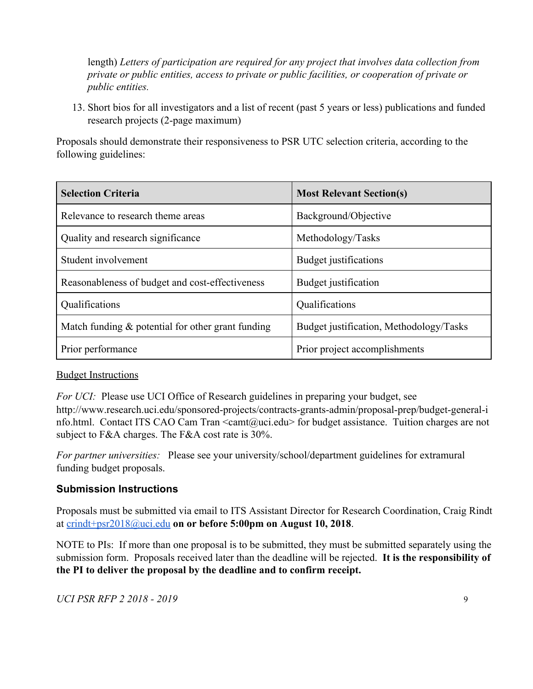length) *Letters of participation are required for any project that involves data collection from private or public entities, access to private or public facilities, or cooperation of private or public entities.*

13. Short bios for all investigators and a list of recent (past 5 years or less) publications and funded research projects (2-page maximum)

Proposals should demonstrate their responsiveness to PSR UTC selection criteria, according to the following guidelines:

| <b>Selection Criteria</b>                            | <b>Most Relevant Section(s)</b>         |
|------------------------------------------------------|-----------------------------------------|
| Relevance to research theme areas                    | Background/Objective                    |
| Quality and research significance                    | Methodology/Tasks                       |
| Student involvement                                  | Budget justifications                   |
| Reasonableness of budget and cost-effectiveness      | Budget justification                    |
| Qualifications                                       | Qualifications                          |
| Match funding $\&$ potential for other grant funding | Budget justification, Methodology/Tasks |
| Prior performance                                    | Prior project accomplishments           |

#### **Budget Instructions**

*For UCI:* Please use UCI Office of Research guidelines in preparing your budget, see http://www.research.uci.edu/sponsored-projects/contracts-grants-admin/proposal-prep/budget-general-i nfo.html. Contact ITS CAO Cam Tran <camt@uci.edu> for budget assistance. Tuition charges are not subject to F&A charges. The F&A cost rate is 30%.

*For partner universities:* Please see your university/school/department guidelines for extramural funding budget proposals.

#### <span id="page-9-0"></span>**Submission Instructions**

Proposals must be submitted via email to ITS Assistant Director for Research Coordination, Craig Rindt at [crindt+psr2018@uci.edu](mailto:crindt@uci.edu) **on or before 5:00pm on August 10, 2018**.

NOTE to PIs: If more than one proposal is to be submitted, they must be submitted separately using the submission form. Proposals received later than the deadline will be rejected. **It is the responsibility of the PI to deliver the proposal by the deadline and to confirm receipt.**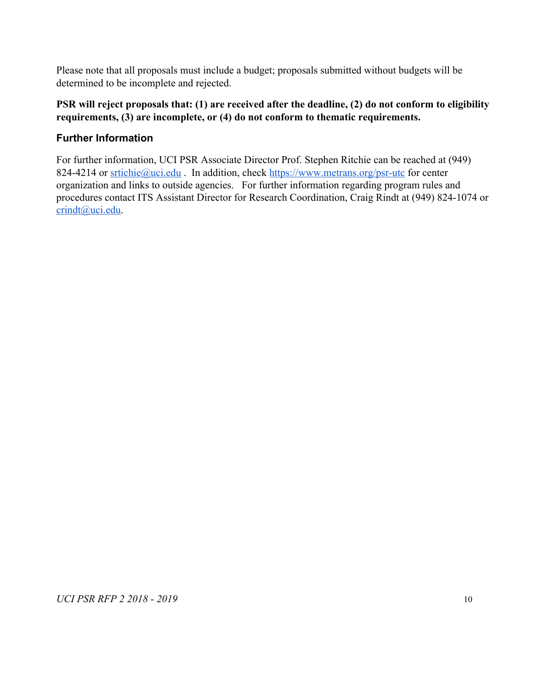Please note that all proposals must include a budget; proposals submitted without budgets will be determined to be incomplete and rejected.

#### **PSR will reject proposals that: (1) are received after the deadline, (2) do not conform to eligibility requirements, (3) are incomplete, or (4) do not conform to thematic requirements.**

### <span id="page-10-0"></span>**Further Information**

For further information, UCI PSR Associate Director Prof. Stephen Ritchie can be reached at (949) 824-4214 or [srtichie@uci.edu](mailto:srtichie@uci.edu). In addition, check <https://www.metrans.org/psr-utc>for center organization and links to outside agencies. For further information regarding program rules and procedures contact ITS Assistant Director for Research Coordination, Craig Rindt at (949) 824-1074 or [crindt@uci.edu.](mailto:crindt@uci.edu)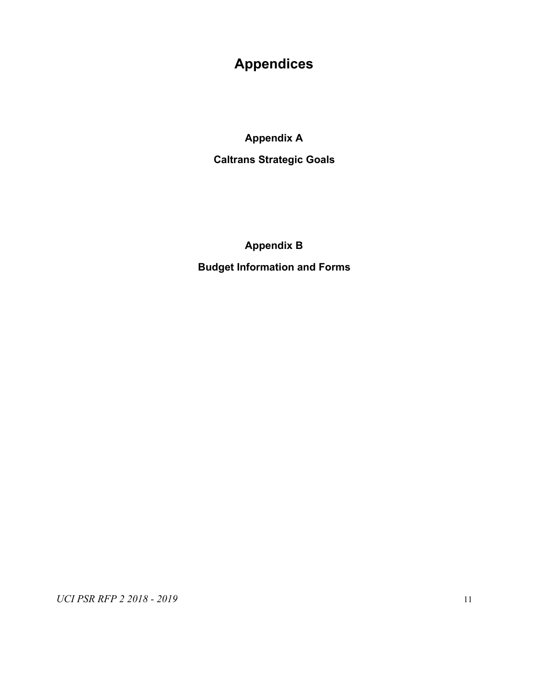# **Appendices**

**Appendix A**

**Caltrans Strategic Goals**

**Appendix B Budget Information and Forms**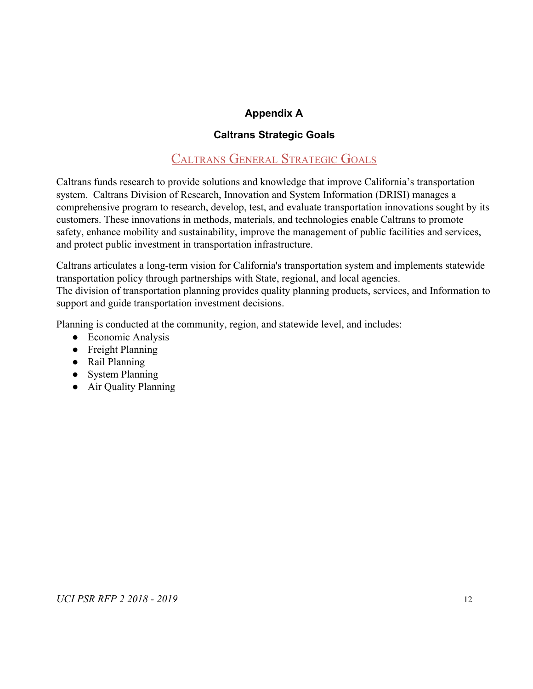### **Appendix A**

#### **Caltrans Strategic Goals**

# CALTRANS GENERAL STRATEGIC GOALS

<span id="page-12-0"></span>Caltrans funds research to provide solutions and knowledge that improve California's transportation system. Caltrans Division of Research, Innovation and System Information (DRISI) manages a comprehensive program to research, develop, test, and evaluate transportation innovations sought by its customers. These innovations in methods, materials, and technologies enable Caltrans to promote safety, enhance mobility and sustainability, improve the management of public facilities and services, and protect public investment in transportation infrastructure.

Caltrans articulates a long-term vision for California's transportation system and implements statewide transportation policy through partnerships with State, regional, and local agencies. The division of transportation planning provides quality planning products, services, and Information to support and guide transportation investment decisions.

Planning is conducted at the community, region, and statewide level, and includes:

- Economic Analysis
- Freight Planning
- Rail Planning
- System Planning
- Air Quality Planning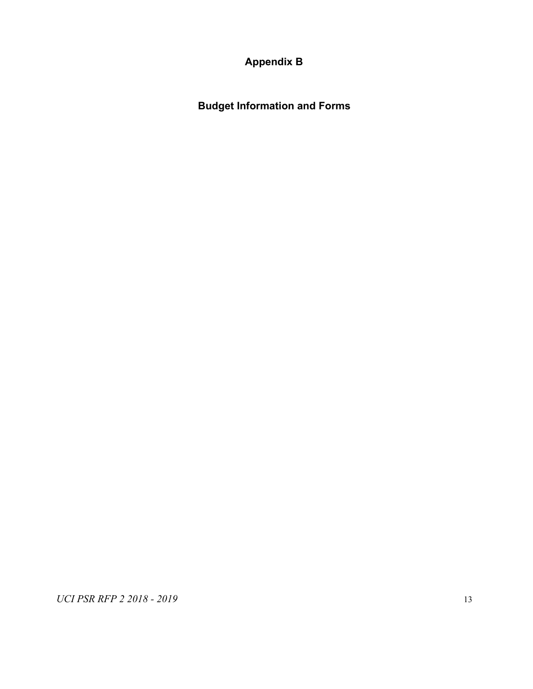**Appendix B**

<span id="page-13-0"></span>**Budget Information and Forms**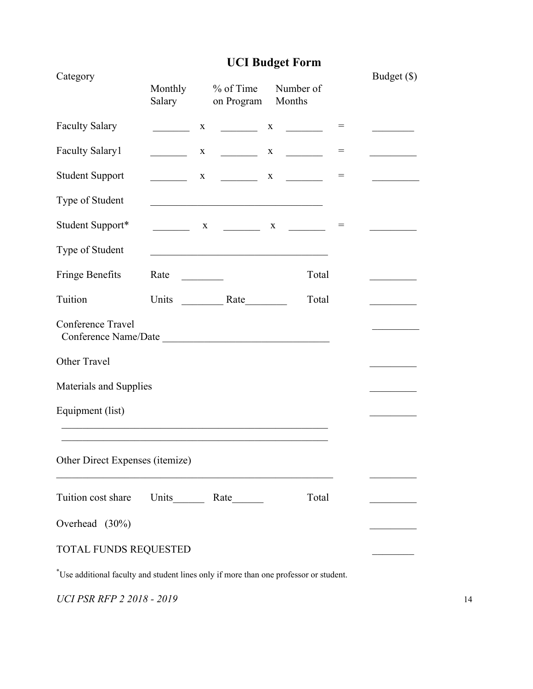# **UCI Budget Form**

| Category                                  | Monthly<br>Salary               | $%$ of Time<br>on Program                                         | Number of<br>Months |       |     | Budget $(\$)$                                                                           |
|-------------------------------------------|---------------------------------|-------------------------------------------------------------------|---------------------|-------|-----|-----------------------------------------------------------------------------------------|
| <b>Faculty Salary</b>                     | X                               |                                                                   |                     |       | $=$ |                                                                                         |
| <b>Faculty Salary1</b>                    | $\mathbf{X}$                    |                                                                   |                     |       |     | $\mathcal{L}^{\text{max}}_{\text{max}}$ , where $\mathcal{L}^{\text{max}}_{\text{max}}$ |
| <b>Student Support</b>                    |                                 | $X \sim$                                                          | $X \sim$            |       | $=$ |                                                                                         |
| Type of Student                           |                                 | <u> 1989 - Johann Barbara, martxa alemaniar a</u>                 |                     |       |     |                                                                                         |
| Student Support*                          |                                 |                                                                   |                     |       |     |                                                                                         |
| Type of Student                           |                                 | <u> 1989 - Johann Barbara, martxa amerikan personal (h. 1989)</u> |                     |       |     |                                                                                         |
| <b>Fringe Benefits</b>                    | Rate<br><u> 1990 - Jan Jawa</u> |                                                                   |                     | Total |     |                                                                                         |
| Tuition                                   |                                 |                                                                   |                     | Total |     |                                                                                         |
| Conference Travel<br>Conference Name/Date |                                 |                                                                   |                     |       |     |                                                                                         |
| Other Travel                              |                                 |                                                                   |                     |       |     |                                                                                         |
| Materials and Supplies                    |                                 |                                                                   |                     |       |     |                                                                                         |
| Equipment (list)                          |                                 |                                                                   |                     |       |     |                                                                                         |
|                                           |                                 |                                                                   |                     |       |     |                                                                                         |
| Other Direct Expenses (itemize)           |                                 |                                                                   |                     |       |     |                                                                                         |
| Tuition cost share                        | Units Rate                      |                                                                   |                     | Total |     |                                                                                         |
| Overhead (30%)                            |                                 |                                                                   |                     |       |     |                                                                                         |
| TOTAL FUNDS REQUESTED                     |                                 |                                                                   |                     |       |     |                                                                                         |

\*Use additional faculty and student lines only if more than one professor or student.